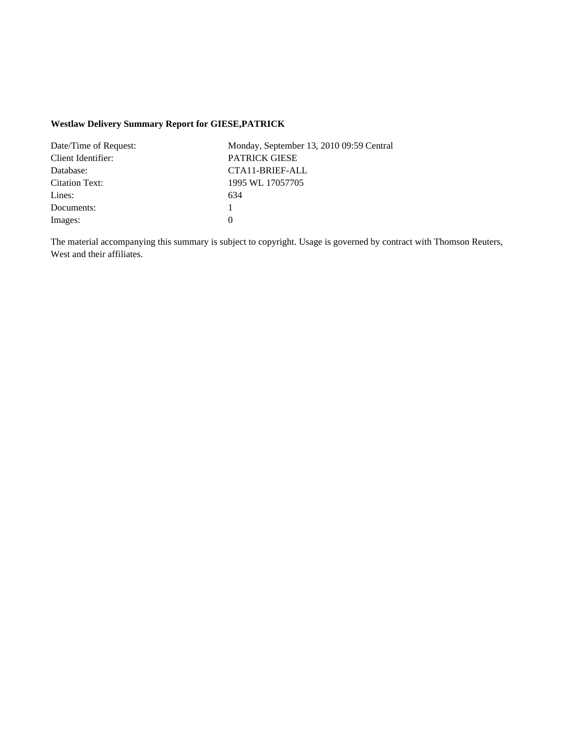## **Westlaw Delivery Summary Report for GIESE,PATRICK**

| Date/Time of Request: | Monday, September 13, 2010 09:59 Central |
|-----------------------|------------------------------------------|
| Client Identifier:    | <b>PATRICK GIESE</b>                     |
| Database:             | CTA11-BRIEF-ALL                          |
| Citation Text:        | 1995 WL 17057705                         |
| Lines:                | 634                                      |
| Documents:            |                                          |
| Images:               |                                          |

The material accompanying this summary is subject to copyright. Usage is governed by contract with Thomson Reuters, West and their affiliates.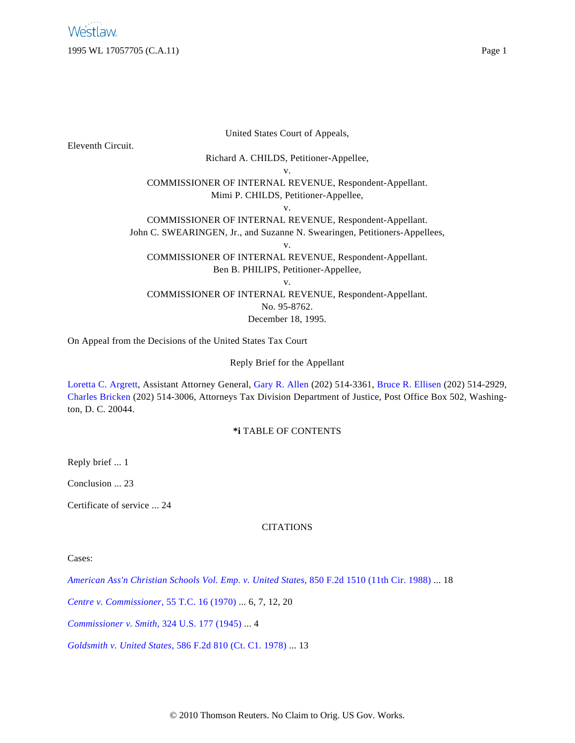United States Court of Appeals,

Eleventh Circuit.

Richard A. CHILDS, Petitioner-Appellee,

v.

COMMISSIONER OF INTERNAL REVENUE, Respondent-Appellant. Mimi P. CHILDS, Petitioner-Appellee,

v.

COMMISSIONER OF INTERNAL REVENUE, Respondent-Appellant. John C. SWEARINGEN, Jr., and Suzanne N. Swearingen, Petitioners-Appellees, v.

COMMISSIONER OF INTERNAL REVENUE, Respondent-Appellant. Ben B. PHILIPS, Petitioner-Appellee,

v.

COMMISSIONER OF INTERNAL REVENUE, Respondent-Appellant.

No. 95-8762.

December 18, 1995.

On Appeal from the Decisions of the United States Tax Court

Reply Brief for the Appellant

[Loretta C. Argrett](http://www.westlaw.com/Find/Default.wl?rs=dfa1.0&vr=2.0&DB=PROFILER-WLD&DocName=0128206201&FindType=h), Assistant Attorney General, [Gary R. Allen](http://www.westlaw.com/Find/Default.wl?rs=dfa1.0&vr=2.0&DB=PROFILER-WLD&DocName=0198251301&FindType=h) (202) 514-3361, [Bruce R. Ellisen](http://www.westlaw.com/Find/Default.wl?rs=dfa1.0&vr=2.0&DB=PROFILER-WLD&DocName=0282700501&FindType=h) (202) 514-2929, [Charles Bricken](http://www.westlaw.com/Find/Default.wl?rs=dfa1.0&vr=2.0&DB=PROFILER-WLD&DocName=0112146601&FindType=h) (202) 514-3006, Attorneys Tax Division Department of Justice, Post Office Box 502, Washington, D. C. 20044.

## **\*i** TABLE OF CONTENTS

Reply brief ... 1

Conclusion ... 23

Certificate of service ... 24

## CITATIONS

Cases:

*[American Ass'n Christian Schools Vol. Emp. v. United States](http://www.westlaw.com/Find/Default.wl?rs=dfa1.0&vr=2.0&DB=350&FindType=Y&SerialNum=1988092824),* [850 F.2d 1510 \(11th Cir. 1988\)](http://www.westlaw.com/Find/Default.wl?rs=dfa1.0&vr=2.0&DB=350&FindType=Y&SerialNum=1988092824) ... 18

*[Centre v. Commissioner](http://www.westlaw.com/Find/Default.wl?rs=dfa1.0&vr=2.0&DB=838&FindType=Y&SerialNum=1971290034),* [55 T.C. 16 \(1970\)](http://www.westlaw.com/Find/Default.wl?rs=dfa1.0&vr=2.0&DB=838&FindType=Y&SerialNum=1971290034) ... 6, 7, 12, 20

*[Commissioner v. Smith](http://www.westlaw.com/Find/Default.wl?rs=dfa1.0&vr=2.0&DB=780&FindType=Y&SerialNum=1945114092),* [324 U.S. 177 \(1945\)](http://www.westlaw.com/Find/Default.wl?rs=dfa1.0&vr=2.0&DB=780&FindType=Y&SerialNum=1945114092) ... 4

*[Goldsmith v. United States,](http://www.westlaw.com/Find/Default.wl?rs=dfa1.0&vr=2.0&DB=350&FindType=Y&SerialNum=1978120911)* [586 F.2d 810 \(Ct. C1. 1978\)](http://www.westlaw.com/Find/Default.wl?rs=dfa1.0&vr=2.0&DB=350&FindType=Y&SerialNum=1978120911) ... 13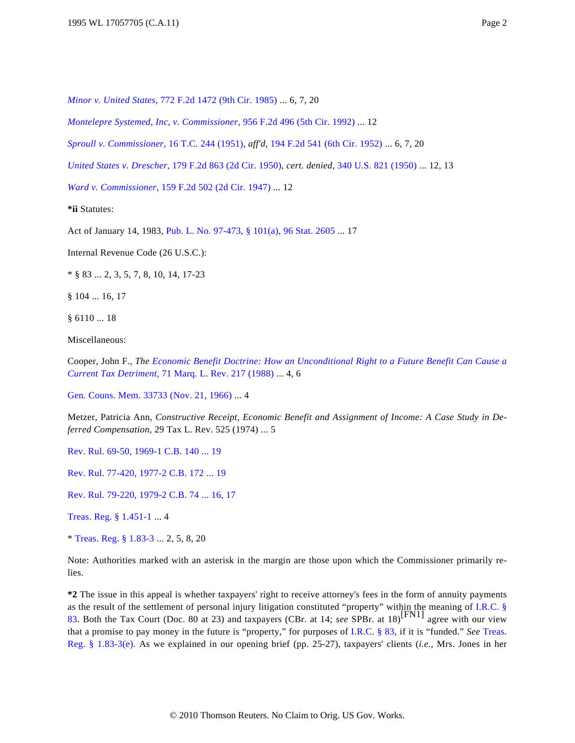*[Minor v. United States,](http://www.westlaw.com/Find/Default.wl?rs=dfa1.0&vr=2.0&DB=350&FindType=Y&SerialNum=1985148622)* [772 F.2d 1472 \(9th Cir. 1985\)](http://www.westlaw.com/Find/Default.wl?rs=dfa1.0&vr=2.0&DB=350&FindType=Y&SerialNum=1985148622) ... 6, 7, 20

*[Montelepre Systemed, Inc, v. Commissioner,](http://www.westlaw.com/Find/Default.wl?rs=dfa1.0&vr=2.0&DB=350&FindType=Y&SerialNum=1992055682)* [956 F.2d 496 \(5th Cir. 1992\)](http://www.westlaw.com/Find/Default.wl?rs=dfa1.0&vr=2.0&DB=350&FindType=Y&SerialNum=1992055682) ... 12

*[Sproull v. Commissioner](http://www.westlaw.com/Find/Default.wl?rs=dfa1.0&vr=2.0&DB=838&FindType=Y&SerialNum=1951287377),* [16 T.C. 244 \(1951\)](http://www.westlaw.com/Find/Default.wl?rs=dfa1.0&vr=2.0&DB=838&FindType=Y&SerialNum=1951287377), *aff'd,* [194 F.2d 541 \(6th Cir. 1952\)](http://www.westlaw.com/Find/Default.wl?rs=dfa1.0&vr=2.0&DB=350&FindType=Y&SerialNum=1952200085) ... 6, 7, 20

*[United States v. Drescher](http://www.westlaw.com/Find/Default.wl?rs=dfa1.0&vr=2.0&DB=350&FindType=Y&SerialNum=1950119573),* [179 F.2d 863 \(2d Cir. 1950\)](http://www.westlaw.com/Find/Default.wl?rs=dfa1.0&vr=2.0&DB=350&FindType=Y&SerialNum=1950119573), *cert. denied,* [340 U.S. 821 \(1950\)](http://www.westlaw.com/Find/Default.wl?rs=dfa1.0&vr=2.0&DB=780&DocName=340US821&FindType=Y) ... 12, 13

*[Ward v. Commissioner,](http://www.westlaw.com/Find/Default.wl?rs=dfa1.0&vr=2.0&DB=350&FindType=Y&SerialNum=1947117606)* [159 F.2d 502 \(2d Cir. 1947\)](http://www.westlaw.com/Find/Default.wl?rs=dfa1.0&vr=2.0&DB=350&FindType=Y&SerialNum=1947117606) ... 12

**\*ii** Statutes:

Act of January 14, 1983, [Pub. L. No. 97-473, § 101\(a\), 96 Stat. 2605](http://www.westlaw.com/Find/Default.wl?rs=dfa1.0&vr=2.0&DB=1077005&DocName=UU%28I2320D6BC55-DA47F0A1039-7A3EFACE27D%29&FindType=l) ... 17

Internal Revenue Code (26 U.S.C.):

\* § 83 ... 2, 3, 5, 7, 8, 10, 14, 17-23

§ 104 ... 16, 17

§ 6110 ... 18

Miscellaneous:

Cooper, John F., *The [Economic Benefit Doctrine: How an Unconditional Right to a Future Benefit Can Cause a](http://www.westlaw.com/Find/Default.wl?rs=dfa1.0&vr=2.0&DB=1186&FindType=Y&SerialNum=0102420293) [Current Tax Detriment](http://www.westlaw.com/Find/Default.wl?rs=dfa1.0&vr=2.0&DB=1186&FindType=Y&SerialNum=0102420293),* [71 Marq. L. Rev. 217 \(1988\)](http://www.westlaw.com/Find/Default.wl?rs=dfa1.0&vr=2.0&DB=1186&FindType=Y&SerialNum=0102420293) ... 4, 6

[Gen. Couns. Mem. 33733 \(Nov. 21, 1966\)](http://www.westlaw.com/Find/Default.wl?rs=dfa1.0&vr=2.0&DB=0003002&FindType=Y&SerialNum=1968080411) ... 4

Metzer, Patricia Ann, *Constructive Receipt, Economic Benefit and Assignment of Income: A Case Study in Deferred Compensation,* 29 Tax L. Rev. 525 (1974) ... 5

[Rev. Rul. 69-50, 1969-1 C.B. 140 ... 19](http://www.westlaw.com/Find/Default.wl?rs=dfa1.0&vr=2.0&DB=1048&FindType=Y&SerialNum=1969014117)

[Rev. Rul. 77-420, 1977-2 C.B. 172 ... 19](http://www.westlaw.com/Find/Default.wl?rs=dfa1.0&vr=2.0&DB=1048&FindType=Y&SerialNum=1977019414)

[Rev. Rul. 79-220, 1979-2 C.B. 74 ... 16, 17](http://www.westlaw.com/Find/Default.wl?rs=dfa1.0&vr=2.0&DB=1048&FindType=Y&SerialNum=1979020295)

[Treas. Reg. § 1.451-1](http://www.westlaw.com/Find/Default.wl?rs=dfa1.0&vr=2.0&DB=1016188&DocName=26CFRS1.451-1&FindType=L) ... 4

\* [Treas. Reg. § 1.83-3](http://www.westlaw.com/Find/Default.wl?rs=dfa1.0&vr=2.0&DB=1016188&DocName=26CFRS1.83-3&FindType=L) ... 2, 5, 8, 20

Note: Authorities marked with an asterisk in the margin are those upon which the Commissioner primarily relies.

**\*2** The issue in this appeal is whether taxpayers' right to receive attorney's fees in the form of annuity payments as the result of the settlement of personal injury litigation constituted "property" within the meaning of [I.R.C. §](http://www.westlaw.com/Find/Default.wl?rs=dfa1.0&vr=2.0&DB=1012823&DocName=26USCAS83&FindType=L) [83](http://www.westlaw.com/Find/Default.wl?rs=dfa1.0&vr=2.0&DB=1012823&DocName=26USCAS83&FindType=L). Both the Tax Court (Doc. 80 at 23) and taxpayers (CBr. at 14; *see* SPBr. at 18)<sup>[FN1]</sup> agree with our view that a promise to pay money in the future is "property," for purposes of [I.R.C. § 83](http://www.westlaw.com/Find/Default.wl?rs=dfa1.0&vr=2.0&DB=1012823&DocName=26USCAS83&FindType=L), if it is "funded." *See* [Treas.](http://www.westlaw.com/Find/Default.wl?rs=dfa1.0&vr=2.0&DB=1016188&DocName=26CFRS1.83-3&FindType=L&ReferencePositionType=T&ReferencePosition=SP_7fdd00001ca15) [Reg. § 1.83-3\(e](http://www.westlaw.com/Find/Default.wl?rs=dfa1.0&vr=2.0&DB=1016188&DocName=26CFRS1.83-3&FindType=L&ReferencePositionType=T&ReferencePosition=SP_7fdd00001ca15)). As we explained in our opening brief (pp. 25-27), taxpayers' clients (*i.e.,* Mrs. Jones in her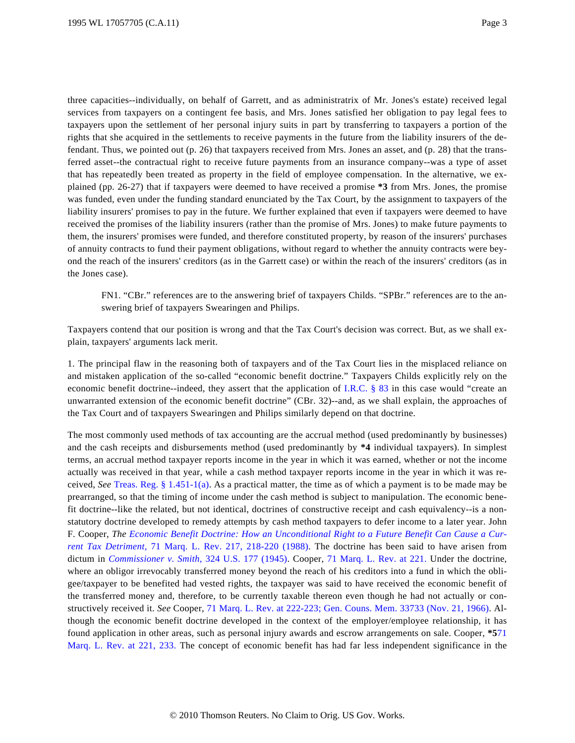three capacities--individually, on behalf of Garrett, and as administratrix of Mr. Jones's estate) received legal services from taxpayers on a contingent fee basis, and Mrs. Jones satisfied her obligation to pay legal fees to taxpayers upon the settlement of her personal injury suits in part by transferring to taxpayers a portion of the rights that she acquired in the settlements to receive payments in the future from the liability insurers of the defendant. Thus, we pointed out (p. 26) that taxpayers received from Mrs. Jones an asset, and (p. 28) that the transferred asset--the contractual right to receive future payments from an insurance company--was a type of asset that has repeatedly been treated as property in the field of employee compensation. In the alternative, we explained (pp. 26-27) that if taxpayers were deemed to have received a promise **\*3** from Mrs. Jones, the promise was funded, even under the funding standard enunciated by the Tax Court, by the assignment to taxpayers of the liability insurers' promises to pay in the future. We further explained that even if taxpayers were deemed to have received the promises of the liability insurers (rather than the promise of Mrs. Jones) to make future payments to them, the insurers' promises were funded, and therefore constituted property, by reason of the insurers' purchases of annuity contracts to fund their payment obligations, without regard to whether the annuity contracts were beyond the reach of the insurers' creditors (as in the Garrett case) or within the reach of the insurers' creditors (as in the Jones case).

FN1. "CBr." references are to the answering brief of taxpayers Childs. "SPBr." references are to the answering brief of taxpayers Swearingen and Philips.

Taxpayers contend that our position is wrong and that the Tax Court's decision was correct. But, as we shall explain, taxpayers' arguments lack merit.

1. The principal flaw in the reasoning both of taxpayers and of the Tax Court lies in the misplaced reliance on and mistaken application of the so-called "economic benefit doctrine." Taxpayers Childs explicitly rely on the economic benefit doctrine--indeed, they assert that the application of [I.R.C. § 83](http://www.westlaw.com/Find/Default.wl?rs=dfa1.0&vr=2.0&DB=1012823&DocName=26USCAS83&FindType=L) in this case would "create an unwarranted extension of the economic benefit doctrine" (CBr. 32)--and, as we shall explain, the approaches of the Tax Court and of taxpayers Swearingen and Philips similarly depend on that doctrine.

The most commonly used methods of tax accounting are the accrual method (used predominantly by businesses) and the cash receipts and disbursements method (used predominantly by **\*4** individual taxpayers). In simplest terms, an accrual method taxpayer reports income in the year in which it was earned, whether or not the income actually was received in that year, while a cash method taxpayer reports income in the year in which it was received, *See* [Treas. Reg. § 1.451-1\(a\)](http://www.westlaw.com/Find/Default.wl?rs=dfa1.0&vr=2.0&DB=1016188&DocName=26CFRS1.451-1&FindType=L&ReferencePositionType=T&ReferencePosition=SP_8b3b0000958a4). As a practical matter, the time as of which a payment is to be made may be prearranged, so that the timing of income under the cash method is subject to manipulation. The economic benefit doctrine--like the related, but not identical, doctrines of constructive receipt and cash equivalency--is a nonstatutory doctrine developed to remedy attempts by cash method taxpayers to defer income to a later year. John F. Cooper, *The [Economic Benefit Doctrine: How an Unconditional Right to a Future Benefit Can Cause a Cur](http://www.westlaw.com/Find/Default.wl?rs=dfa1.0&vr=2.0&DB=1186&FindType=Y&ReferencePositionType=S&SerialNum=0102420293&ReferencePosition=218)[rent Tax Detrimen](http://www.westlaw.com/Find/Default.wl?rs=dfa1.0&vr=2.0&DB=1186&FindType=Y&ReferencePositionType=S&SerialNum=0102420293&ReferencePosition=218)t,* [71 Marq. L. Rev. 217, 218-220 \(198](http://www.westlaw.com/Find/Default.wl?rs=dfa1.0&vr=2.0&DB=1186&FindType=Y&ReferencePositionType=S&SerialNum=0102420293&ReferencePosition=218)8). The doctrine has been said to have arisen from dictum in *[Commissioner v. Smith](http://www.westlaw.com/Find/Default.wl?rs=dfa1.0&vr=2.0&DB=780&FindType=Y&SerialNum=1945114092),* [324 U.S. 177 \(1945](http://www.westlaw.com/Find/Default.wl?rs=dfa1.0&vr=2.0&DB=780&FindType=Y&SerialNum=1945114092)). Cooper, [71 Marq. L. Rev. at 221](http://www.westlaw.com/Find/Default.wl?rs=dfa1.0&vr=2.0&DB=1186&FindType=Y&ReferencePositionType=S&SerialNum=0102420293&ReferencePosition=221). Under the doctrine, where an obligor irrevocably transferred money beyond the reach of his creditors into a fund in which the obligee/taxpayer to be benefited had vested rights, the taxpayer was said to have received the economic benefit of the transferred money and, therefore, to be currently taxable thereon even though he had not actually or constructively received it. *See* Cooper, [71 Marq. L. Rev. at 222-223](http://www.westlaw.com/Find/Default.wl?rs=dfa1.0&vr=2.0&DB=1186&FindType=Y&ReferencePositionType=S&SerialNum=0102420293&ReferencePosition=222); [Gen. Couns. Mem. 33733 \(Nov. 21, 1966](http://www.westlaw.com/Find/Default.wl?rs=dfa1.0&vr=2.0&DB=0003002&FindType=Y&SerialNum=1968080411)). Although the economic benefit doctrine developed in the context of the employer/employee relationship, it has found application in other areas, such as personal injury awards and escrow arrangements on sale. Cooper, **[\\*5](http://www.westlaw.com/Find/Default.wl?rs=dfa1.0&vr=2.0&DB=1186&FindType=Y&ReferencePositionType=S&SerialNum=0102420293&ReferencePosition=221)**71 [Marq. L. Rev. at 221, 23](http://www.westlaw.com/Find/Default.wl?rs=dfa1.0&vr=2.0&DB=1186&FindType=Y&ReferencePositionType=S&SerialNum=0102420293&ReferencePosition=221)3. The concept of economic benefit has had far less independent significance in the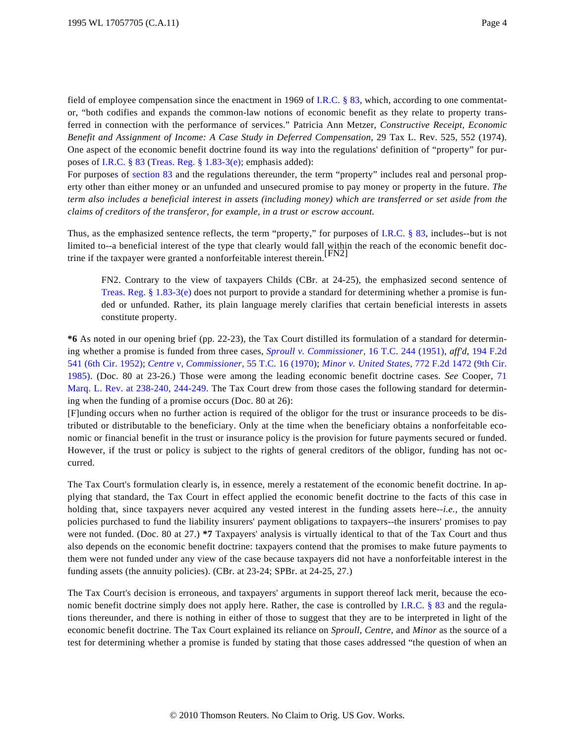field of employee compensation since the enactment in 1969 of [I.R.C. § 83](http://www.westlaw.com/Find/Default.wl?rs=dfa1.0&vr=2.0&DB=1012823&DocName=26USCAS83&FindType=L), which, according to one commentator, "both codifies and expands the common-law notions of economic benefit as they relate to property transferred in connection with the performance of services." Patricia Ann Metzer, *Constructive Receipt, Economic Benefit and Assignment of Income: A Case Study in Deferred Compensation,* 29 Tax L. Rev. 525, 552 (1974). One aspect of the economic benefit doctrine found its way into the regulations' definition of "property" for purposes of [I.R.C. § 83](http://www.westlaw.com/Find/Default.wl?rs=dfa1.0&vr=2.0&DB=1012823&DocName=26USCAS83&FindType=L) [\(Treas. Reg. § 1.83-3\(e\)](http://www.westlaw.com/Find/Default.wl?rs=dfa1.0&vr=2.0&DB=1016188&DocName=26CFRS1.83-3&FindType=L&ReferencePositionType=T&ReferencePosition=SP_7fdd00001ca15); emphasis added):

For purposes of [section 83](http://www.westlaw.com/Find/Default.wl?rs=dfa1.0&vr=2.0&DB=1012823&DocName=26USCAS83&FindType=L) and the regulations thereunder, the term "property" includes real and personal property other than either money or an unfunded and unsecured promise to pay money or property in the future. *The term also includes a beneficial interest in assets (including money) which are transferred or set aside from the claims of creditors of the transferor, for example, in a trust or escrow account.*

Thus, as the emphasized sentence reflects, the term "property," for purposes of [I.R.C. § 83](http://www.westlaw.com/Find/Default.wl?rs=dfa1.0&vr=2.0&DB=1012823&DocName=26USCAS83&FindType=L), includes--but is not limited to--a beneficial interest of the type that clearly would fall within the reach of the economic benefit doctrine if the taxpayer were granted a nonforfeitable interest therein.[FN2]

FN2. Contrary to the view of taxpayers Childs (CBr. at 24-25), the emphasized second sentence of Treas. Reg.  $\S 1.83-3(e)$  does not purport to provide a standard for determining whether a promise is funded or unfunded. Rather, its plain language merely clarifies that certain beneficial interests in assets constitute property.

**\*6** As noted in our opening brief (pp. 22-23), the Tax Court distilled its formulation of a standard for determining whether a promise is funded from three cases, *[Sproull v. Commissioner](http://www.westlaw.com/Find/Default.wl?rs=dfa1.0&vr=2.0&DB=838&FindType=Y&SerialNum=1951287377),* [16 T.C. 244 \(1951](http://www.westlaw.com/Find/Default.wl?rs=dfa1.0&vr=2.0&DB=838&FindType=Y&SerialNum=1951287377)), *aff'd,* [194 F.2d](http://www.westlaw.com/Find/Default.wl?rs=dfa1.0&vr=2.0&DB=350&FindType=Y&SerialNum=1952200085) [541 \(6th Cir. 1952\)](http://www.westlaw.com/Find/Default.wl?rs=dfa1.0&vr=2.0&DB=350&FindType=Y&SerialNum=1952200085); *[Centre v, Commissioner,](http://www.westlaw.com/Find/Default.wl?rs=dfa1.0&vr=2.0&DB=838&FindType=Y&SerialNum=1971290034)* [55 T.C. 16 \(1970\)](http://www.westlaw.com/Find/Default.wl?rs=dfa1.0&vr=2.0&DB=838&FindType=Y&SerialNum=1971290034); *[Minor v. United States,](http://www.westlaw.com/Find/Default.wl?rs=dfa1.0&vr=2.0&DB=350&FindType=Y&SerialNum=1985148622)* [772 F.2d 1472 \(9th Cir.](http://www.westlaw.com/Find/Default.wl?rs=dfa1.0&vr=2.0&DB=350&FindType=Y&SerialNum=1985148622) [1985\)](http://www.westlaw.com/Find/Default.wl?rs=dfa1.0&vr=2.0&DB=350&FindType=Y&SerialNum=1985148622). (Doc. 80 at 23-26.) Those were among the leading economic benefit doctrine cases. *See* Cooper, [71](http://www.westlaw.com/Find/Default.wl?rs=dfa1.0&vr=2.0&DB=1186&FindType=Y&ReferencePositionType=S&SerialNum=0102420293&ReferencePosition=238) [Marq. L. Rev. at 238-240, 244-249](http://www.westlaw.com/Find/Default.wl?rs=dfa1.0&vr=2.0&DB=1186&FindType=Y&ReferencePositionType=S&SerialNum=0102420293&ReferencePosition=238). The Tax Court drew from those cases the following standard for determining when the funding of a promise occurs (Doc. 80 at 26):

[F]unding occurs when no further action is required of the obligor for the trust or insurance proceeds to be distributed or distributable to the beneficiary. Only at the time when the beneficiary obtains a nonforfeitable economic or financial benefit in the trust or insurance policy is the provision for future payments secured or funded. However, if the trust or policy is subject to the rights of general creditors of the obligor, funding has not occurred.

The Tax Court's formulation clearly is, in essence, merely a restatement of the economic benefit doctrine. In applying that standard, the Tax Court in effect applied the economic benefit doctrine to the facts of this case in holding that, since taxpayers never acquired any vested interest in the funding assets here--*i.e.,* the annuity policies purchased to fund the liability insurers' payment obligations to taxpayers--the insurers' promises to pay were not funded. (Doc. 80 at 27.) **\*7** Taxpayers' analysis is virtually identical to that of the Tax Court and thus also depends on the economic benefit doctrine: taxpayers contend that the promises to make future payments to them were not funded under any view of the case because taxpayers did not have a nonforfeitable interest in the funding assets (the annuity policies). (CBr. at 23-24; SPBr. at 24-25, 27.)

The Tax Court's decision is erroneous, and taxpayers' arguments in support thereof lack merit, because the eco-nomic benefit doctrine simply does not apply here. Rather, the case is controlled by [I.R.C. § 83](http://www.westlaw.com/Find/Default.wl?rs=dfa1.0&vr=2.0&DB=1012823&DocName=26USCAS83&FindType=L) and the regulations thereunder, and there is nothing in either of those to suggest that they are to be interpreted in light of the economic benefit doctrine. The Tax Court explained its reliance on *Sproull, Centre,* and *Minor* as the source of a test for determining whether a promise is funded by stating that those cases addressed "the question of when an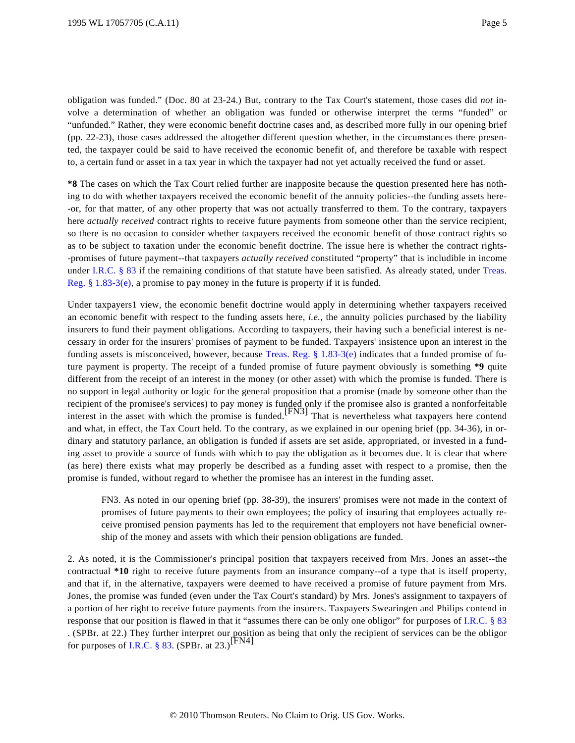obligation was funded." (Doc. 80 at 23-24.) But, contrary to the Tax Court's statement, those cases did *not* involve a determination of whether an obligation was funded or otherwise interpret the terms "funded" or "unfunded." Rather, they were economic benefit doctrine cases and, as described more fully in our opening brief (pp. 22-23), those cases addressed the altogether different question whether, in the circumstances there presented, the taxpayer could be said to have received the economic benefit of, and therefore be taxable with respect to, a certain fund or asset in a tax year in which the taxpayer had not yet actually received the fund or asset.

**\*8** The cases on which the Tax Court relied further are inapposite because the question presented here has nothing to do with whether taxpayers received the economic benefit of the annuity policies--the funding assets here- -or, for that matter, of any other property that was not actually transferred to them. To the contrary, taxpayers here *actually received* contract rights to receive future payments from someone other than the service recipient, so there is no occasion to consider whether taxpayers received the economic benefit of those contract rights so as to be subject to taxation under the economic benefit doctrine. The issue here is whether the contract rights- -promises of future payment--that taxpayers *actually received* constituted "property" that is includible in income under [I.R.C. § 83](http://www.westlaw.com/Find/Default.wl?rs=dfa1.0&vr=2.0&DB=1012823&DocName=26USCAS83&FindType=L) if the remaining conditions of that statute have been satisfied. As already stated, under [Treas.](http://www.westlaw.com/Find/Default.wl?rs=dfa1.0&vr=2.0&DB=1016188&DocName=26CFRS1.83-3&FindType=L&ReferencePositionType=T&ReferencePosition=SP_7fdd00001ca15) [Reg. § 1.83-3\(e\)](http://www.westlaw.com/Find/Default.wl?rs=dfa1.0&vr=2.0&DB=1016188&DocName=26CFRS1.83-3&FindType=L&ReferencePositionType=T&ReferencePosition=SP_7fdd00001ca15), a promise to pay money in the future is property if it is funded.

Under taxpayers1 view, the economic benefit doctrine would apply in determining whether taxpayers received an economic benefit with respect to the funding assets here, *i.e.,* the annuity policies purchased by the liability insurers to fund their payment obligations. According to taxpayers, their having such a beneficial interest is necessary in order for the insurers' promises of payment to be funded. Taxpayers' insistence upon an interest in the funding assets is misconceived, however, because [Treas. Reg. § 1.83-3\(e](http://www.westlaw.com/Find/Default.wl?rs=dfa1.0&vr=2.0&DB=1016188&DocName=26CFRS1.83-3&FindType=L&ReferencePositionType=T&ReferencePosition=SP_7fdd00001ca15)) indicates that a funded promise of future payment is property. The receipt of a funded promise of future payment obviously is something **\*9** quite different from the receipt of an interest in the money (or other asset) with which the promise is funded. There is no support in legal authority or logic for the general proposition that a promise (made by someone other than the recipient of the promisee's services) to pay money is funded only if the promisee also is granted a nonforfeitable<br>interest in the asset with which the promise is funded.<sup>[FN3]</sup> That is nevertheless what taxpayers here con and what, in effect, the Tax Court held. To the contrary, as we explained in our opening brief (pp. 34-36), in ordinary and statutory parlance, an obligation is funded if assets are set aside, appropriated, or invested in a funding asset to provide a source of funds with which to pay the obligation as it becomes due. It is clear that where (as here) there exists what may properly be described as a funding asset with respect to a promise, then the promise is funded, without regard to whether the promisee has an interest in the funding asset.

FN3. As noted in our opening brief (pp. 38-39), the insurers' promises were not made in the context of promises of future payments to their own employees; the policy of insuring that employees actually receive promised pension payments has led to the requirement that employers not have beneficial ownership of the money and assets with which their pension obligations are funded.

2. As noted, it is the Commissioner's principal position that taxpayers received from Mrs. Jones an asset--the contractual **\*10** right to receive future payments from an insurance company--of a type that is itself property, and that if, in the alternative, taxpayers were deemed to have received a promise of future payment from Mrs. Jones, the promise was funded (even under the Tax Court's standard) by Mrs. Jones's assignment to taxpayers of a portion of her right to receive future payments from the insurers. Taxpayers Swearingen and Philips contend in response that our position is flawed in that it "assumes there can be only one obligor" for purposes of [I.R.C. § 83](http://www.westlaw.com/Find/Default.wl?rs=dfa1.0&vr=2.0&DB=1012823&DocName=26USCAS83&FindType=L) . (SPBr. at 22.) They further interpret our position as being that only the recipient of services can be the obligor for purposes of [I.R.C. § 83](http://www.westlaw.com/Find/Default.wl?rs=dfa1.0&vr=2.0&DB=1012823&DocName=26USCAS83&FindType=L). (SPBr. at 23.)<sup>[FN4]</sup>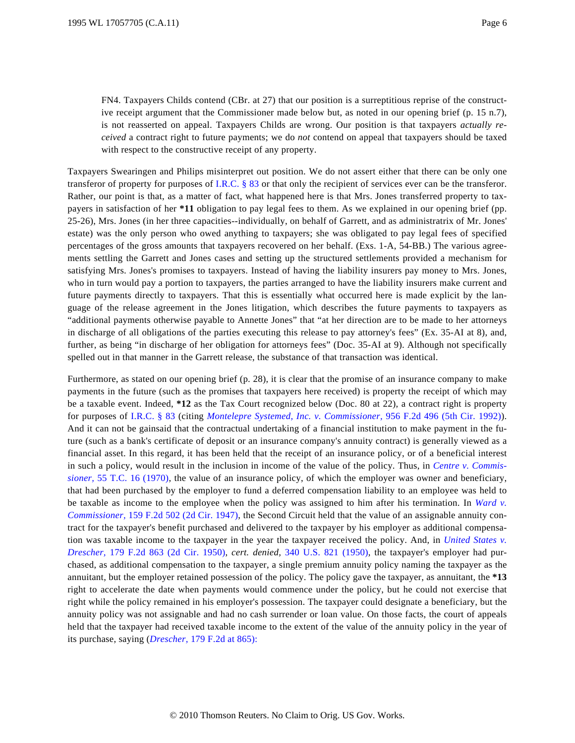FN4. Taxpayers Childs contend (CBr. at 27) that our position is a surreptitious reprise of the constructive receipt argument that the Commissioner made below but, as noted in our opening brief (p. 15 n.7), is not reasserted on appeal. Taxpayers Childs are wrong. Our position is that taxpayers *actually received* a contract right to future payments; we do *not* contend on appeal that taxpayers should be taxed with respect to the constructive receipt of any property.

Taxpayers Swearingen and Philips misinterpret out position. We do not assert either that there can be only one transferor of property for purposes of [I.R.C. § 83](http://www.westlaw.com/Find/Default.wl?rs=dfa1.0&vr=2.0&DB=1012823&DocName=26USCAS83&FindType=L) or that only the recipient of services ever can be the transferor. Rather, our point is that, as a matter of fact, what happened here is that Mrs. Jones transferred property to taxpayers in satisfaction of her **\*11** obligation to pay legal fees to them. As we explained in our opening brief (pp. 25-26), Mrs. Jones (in her three capacities--individually, on behalf of Garrett, and as administratrix of Mr. Jones' estate) was the only person who owed anything to taxpayers; she was obligated to pay legal fees of specified percentages of the gross amounts that taxpayers recovered on her behalf. (Exs. 1-A, 54-BB.) The various agreements settling the Garrett and Jones cases and setting up the structured settlements provided a mechanism for satisfying Mrs. Jones's promises to taxpayers. Instead of having the liability insurers pay money to Mrs. Jones, who in turn would pay a portion to taxpayers, the parties arranged to have the liability insurers make current and future payments directly to taxpayers. That this is essentially what occurred here is made explicit by the language of the release agreement in the Jones litigation, which describes the future payments to taxpayers as "additional payments otherwise payable to Annette Jones" that "at her direction are to be made to her attorneys in discharge of all obligations of the parties executing this release to pay attorney's fees" (Ex. 35-AI at 8), and, further, as being "in discharge of her obligation for attorneys fees" (Doc. 35-AI at 9). Although not specifically spelled out in that manner in the Garrett release, the substance of that transaction was identical.

Furthermore, as stated on our opening brief (p. 28), it is clear that the promise of an insurance company to make payments in the future (such as the promises that taxpayers here received) is property the receipt of which may be a taxable event. Indeed, **\*12** as the Tax Court recognized below (Doc. 80 at 22), a contract right is property for purposes of [I.R.C. § 83](http://www.westlaw.com/Find/Default.wl?rs=dfa1.0&vr=2.0&DB=1012823&DocName=26USCAS83&FindType=L) (citing *[Montelepre Systemed, Inc. v. Commissioner](http://www.westlaw.com/Find/Default.wl?rs=dfa1.0&vr=2.0&DB=350&FindType=Y&SerialNum=1992055682),* [956 F.2d 496 \(5th Cir. 1992](http://www.westlaw.com/Find/Default.wl?rs=dfa1.0&vr=2.0&DB=350&FindType=Y&SerialNum=1992055682))). And it can not be gainsaid that the contractual undertaking of a financial institution to make payment in the future (such as a bank's certificate of deposit or an insurance company's annuity contract) is generally viewed as a financial asset. In this regard, it has been held that the receipt of an insurance policy, or of a beneficial interest in such a policy, would result in the inclusion in income of the value of the policy. Thus, in *[Centre v. Commis](http://www.westlaw.com/Find/Default.wl?rs=dfa1.0&vr=2.0&DB=838&FindType=Y&SerialNum=1971290034)[sioner,](http://www.westlaw.com/Find/Default.wl?rs=dfa1.0&vr=2.0&DB=838&FindType=Y&SerialNum=1971290034)* [55 T.C. 16 \(1970](http://www.westlaw.com/Find/Default.wl?rs=dfa1.0&vr=2.0&DB=838&FindType=Y&SerialNum=1971290034)), the value of an insurance policy, of which the employer was owner and beneficiary, that had been purchased by the employer to fund a deferred compensation liability to an employee was held to be taxable as income to the employee when the policy was assigned to him after his termination. In *[Ward v.](http://www.westlaw.com/Find/Default.wl?rs=dfa1.0&vr=2.0&DB=350&FindType=Y&SerialNum=1947117606) [Commissioner,](http://www.westlaw.com/Find/Default.wl?rs=dfa1.0&vr=2.0&DB=350&FindType=Y&SerialNum=1947117606)* [159 F.2d 502 \(2d Cir. 1947](http://www.westlaw.com/Find/Default.wl?rs=dfa1.0&vr=2.0&DB=350&FindType=Y&SerialNum=1947117606)), the Second Circuit held that the value of an assignable annuity contract for the taxpayer's benefit purchased and delivered to the taxpayer by his employer as additional compensation was taxable income to the taxpayer in the year the taxpayer received the policy. And, in *[United States v.](http://www.westlaw.com/Find/Default.wl?rs=dfa1.0&vr=2.0&DB=350&FindType=Y&SerialNum=1950119573) [Drescher,](http://www.westlaw.com/Find/Default.wl?rs=dfa1.0&vr=2.0&DB=350&FindType=Y&SerialNum=1950119573)* [179 F.2d 863 \(2d Cir. 195](http://www.westlaw.com/Find/Default.wl?rs=dfa1.0&vr=2.0&DB=350&FindType=Y&SerialNum=1950119573)0), *cert. denied,* [340 U.S. 821 \(1950](http://www.westlaw.com/Find/Default.wl?rs=dfa1.0&vr=2.0&DB=780&DocName=340US821&FindType=Y)), the taxpayer's employer had purchased, as additional compensation to the taxpayer, a single premium annuity policy naming the taxpayer as the annuitant, but the employer retained possession of the policy. The policy gave the taxpayer, as annuitant, the **\*13** right to accelerate the date when payments would commence under the policy, but he could not exercise that right while the policy remained in his employer's possession. The taxpayer could designate a beneficiary, but the annuity policy was not assignable and had no cash surrender or loan value. On those facts, the court of appeals held that the taxpayer had received taxable income to the extent of the value of the annuity policy in the year of its purchase, saying (*[Drescher,](http://www.westlaw.com/Find/Default.wl?rs=dfa1.0&vr=2.0&DB=350&FindType=Y&ReferencePositionType=S&SerialNum=1950119573&ReferencePosition=865)* [179 F.2d at 865\):](http://www.westlaw.com/Find/Default.wl?rs=dfa1.0&vr=2.0&DB=350&FindType=Y&ReferencePositionType=S&SerialNum=1950119573&ReferencePosition=865)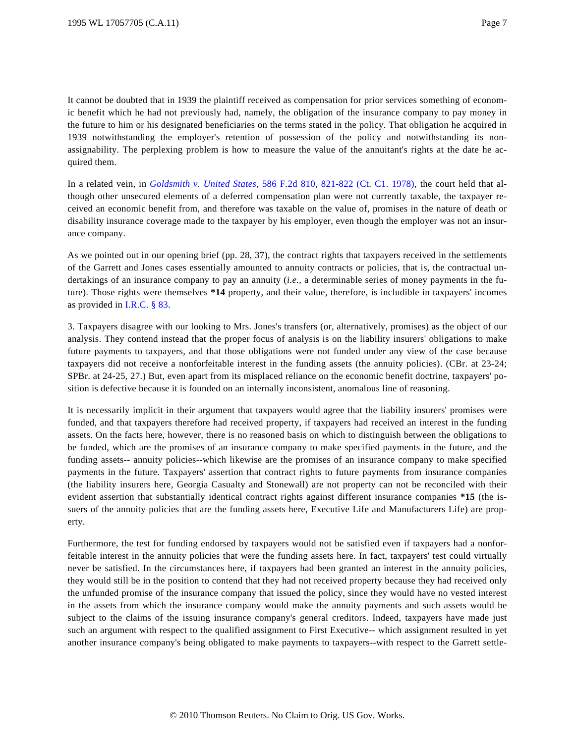It cannot be doubted that in 1939 the plaintiff received as compensation for prior services something of economic benefit which he had not previously had, namely, the obligation of the insurance company to pay money in the future to him or his designated beneficiaries on the terms stated in the policy. That obligation he acquired in 1939 notwithstanding the employer's retention of possession of the policy and notwithstanding its nonassignability. The perplexing problem is how to measure the value of the annuitant's rights at the date he acquired them.

In a related vein, in *[Goldsmith v. United States](http://www.westlaw.com/Find/Default.wl?rs=dfa1.0&vr=2.0&DB=350&FindType=Y&ReferencePositionType=S&SerialNum=1978120911&ReferencePosition=821),* [586 F.2d 810, 821-822 \(Ct. C1. 1978](http://www.westlaw.com/Find/Default.wl?rs=dfa1.0&vr=2.0&DB=350&FindType=Y&ReferencePositionType=S&SerialNum=1978120911&ReferencePosition=821)), the court held that although other unsecured elements of a deferred compensation plan were not currently taxable, the taxpayer received an economic benefit from, and therefore was taxable on the value of, promises in the nature of death or disability insurance coverage made to the taxpayer by his employer, even though the employer was not an insurance company.

As we pointed out in our opening brief (pp. 28, 37), the contract rights that taxpayers received in the settlements of the Garrett and Jones cases essentially amounted to annuity contracts or policies, that is, the contractual undertakings of an insurance company to pay an annuity (*i.e.,* a determinable series of money payments in the future). Those rights were themselves **\*14** property, and their value, therefore, is includible in taxpayers' incomes as provided in [I.R.C. § 83](http://www.westlaw.com/Find/Default.wl?rs=dfa1.0&vr=2.0&DB=1012823&DocName=26USCAS83&FindType=L).

3. Taxpayers disagree with our looking to Mrs. Jones's transfers (or, alternatively, promises) as the object of our analysis. They contend instead that the proper focus of analysis is on the liability insurers' obligations to make future payments to taxpayers, and that those obligations were not funded under any view of the case because taxpayers did not receive a nonforfeitable interest in the funding assets (the annuity policies). (CBr. at 23-24; SPBr. at 24-25, 27.) But, even apart from its misplaced reliance on the economic benefit doctrine, taxpayers' position is defective because it is founded on an internally inconsistent, anomalous line of reasoning.

It is necessarily implicit in their argument that taxpayers would agree that the liability insurers' promises were funded, and that taxpayers therefore had received property, if taxpayers had received an interest in the funding assets. On the facts here, however, there is no reasoned basis on which to distinguish between the obligations to be funded, which are the promises of an insurance company to make specified payments in the future, and the funding assets-- annuity policies--which likewise are the promises of an insurance company to make specified payments in the future. Taxpayers' assertion that contract rights to future payments from insurance companies (the liability insurers here, Georgia Casualty and Stonewall) are not property can not be reconciled with their evident assertion that substantially identical contract rights against different insurance companies **\*15** (the issuers of the annuity policies that are the funding assets here, Executive Life and Manufacturers Life) are property.

Furthermore, the test for funding endorsed by taxpayers would not be satisfied even if taxpayers had a nonforfeitable interest in the annuity policies that were the funding assets here. In fact, taxpayers' test could virtually never be satisfied. In the circumstances here, if taxpayers had been granted an interest in the annuity policies, they would still be in the position to contend that they had not received property because they had received only the unfunded promise of the insurance company that issued the policy, since they would have no vested interest in the assets from which the insurance company would make the annuity payments and such assets would be subject to the claims of the issuing insurance company's general creditors. Indeed, taxpayers have made just such an argument with respect to the qualified assignment to First Executive-- which assignment resulted in yet another insurance company's being obligated to make payments to taxpayers--with respect to the Garrett settle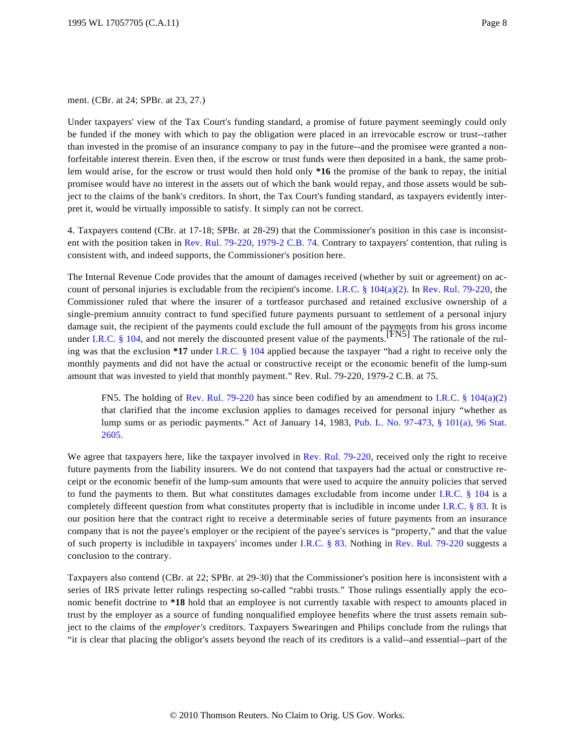ment. (CBr. at 24; SPBr. at 23, 27.)

Under taxpayers' view of the Tax Court's funding standard, a promise of future payment seemingly could only be funded if the money with which to pay the obligation were placed in an irrevocable escrow or trust--rather than invested in the promise of an insurance company to pay in the future--and the promisee were granted a nonforfeitable interest therein. Even then, if the escrow or trust funds were then deposited in a bank, the same problem would arise, for the escrow or trust would then hold only **\*16** the promise of the bank to repay, the initial promisee would have no interest in the assets out of which the bank would repay, and those assets would be subject to the claims of the bank's creditors. In short, the Tax Court's funding standard, as taxpayers evidently interpret it, would be virtually impossible to satisfy. It simply can not be correct.

4. Taxpayers contend (CBr. at 17-18; SPBr. at 28-29) that the Commissioner's position in this case is inconsistent with the position taken in [Rev. Rul. 79-220, 1979-2 C.B. 74](http://www.westlaw.com/Find/Default.wl?rs=dfa1.0&vr=2.0&DB=1048&FindType=Y&SerialNum=1979020295). Contrary to taxpayers' contention, that ruling is consistent with, and indeed supports, the Commissioner's position here.

The Internal Revenue Code provides that the amount of damages received (whether by suit or agreement) on account of personal injuries is excludable from the recipient's income. I.R.C.  $\S 104(a)(2)$ . In [Rev. Rul. 79-220](http://www.westlaw.com/Find/Default.wl?rs=dfa1.0&vr=2.0&DB=0001048&FindType=Y&SerialNum=1979020295), the Commissioner ruled that where the insurer of a tortfeasor purchased and retained exclusive ownership of a single-premium annuity contract to fund specified future payments pursuant to settlement of a personal injury damage suit, the recipient of the payments could exclude the full amount of the payments from his gross income under [I.R.C. § 104](http://www.westlaw.com/Find/Default.wl?rs=dfa1.0&vr=2.0&DB=1012823&DocName=26USCAS104&FindType=L), and not merely the discounted present value of the payments.<sup>[FN5]</sup> The rationale of the ruling was that the exclusion **\*17** under [I.R.C. § 104](http://www.westlaw.com/Find/Default.wl?rs=dfa1.0&vr=2.0&DB=1012823&DocName=26USCAS104&FindType=L) applied because the taxpayer "had a right to receive only the monthly payments and did not have the actual or constructive receipt or the economic benefit of the lump-sum amount that was invested to yield that monthly payment." Rev. Rul. 79-220, 1979-2 C.B. at 75.

FN5. The holding of [Rev. Rul. 79-220](http://www.westlaw.com/Find/Default.wl?rs=dfa1.0&vr=2.0&DB=0001048&FindType=Y&SerialNum=1979020295) has since been codified by an amendment to I.R.C. §  $104(a)(2)$ that clarified that the income exclusion applies to damages received for personal injury "whether as lump sums or as periodic payments." Act of January 14, 1983, [Pub. L. No. 97-473, § 101\(a\), 96 Sta](http://www.westlaw.com/Find/Default.wl?rs=dfa1.0&vr=2.0&DB=1077005&DocName=UU%28I2320D6BC55-DA47F0A1039-7A3EFACE27D%29&FindType=l)t. [2605.](http://www.westlaw.com/Find/Default.wl?rs=dfa1.0&vr=2.0&DB=1077005&DocName=UU%28I2320D6BC55-DA47F0A1039-7A3EFACE27D%29&FindType=l)

We agree that taxpayers here, like the taxpayer involved in [Rev. Rul. 79-220](http://www.westlaw.com/Find/Default.wl?rs=dfa1.0&vr=2.0&DB=0001048&FindType=Y&SerialNum=1979020295), received only the right to receive future payments from the liability insurers. We do not contend that taxpayers had the actual or constructive receipt or the economic benefit of the lump-sum amounts that were used to acquire the annuity policies that served to fund the payments to them. But what constitutes damages excludable from income under I.R.C.  $\S$  104 is a completely different question from what constitutes property that is includible in income under [I.R.C. § 83](http://www.westlaw.com/Find/Default.wl?rs=dfa1.0&vr=2.0&DB=1012823&DocName=26USCAS83&FindType=L). It is our position here that the contract right to receive a determinable series of future payments from an insurance company that is not the payee's employer or the recipient of the payee's services is "property," and that the value of such property is includible in taxpayers' incomes under [I.R.C. § 83](http://www.westlaw.com/Find/Default.wl?rs=dfa1.0&vr=2.0&DB=1012823&DocName=26USCAS83&FindType=L). Nothing in [Rev. Rul. 79-220](http://www.westlaw.com/Find/Default.wl?rs=dfa1.0&vr=2.0&DB=0001048&FindType=Y&SerialNum=1979020295) suggests a conclusion to the contrary.

Taxpayers also contend (CBr. at 22; SPBr. at 29-30) that the Commissioner's position here is inconsistent with a series of IRS private letter rulings respecting so-called "rabbi trusts." Those rulings essentially apply the economic benefit doctrine to **\*18** hold that an employee is not currently taxable with respect to amounts placed in trust by the employer as a source of funding nonqualified employee benefits where the trust assets remain subject to the claims of the *employer's* creditors. Taxpayers Swearingen and Philips conclude from the rulings that "it is clear that placing the obligor's assets beyond the reach of its creditors is a valid--and essential--part of the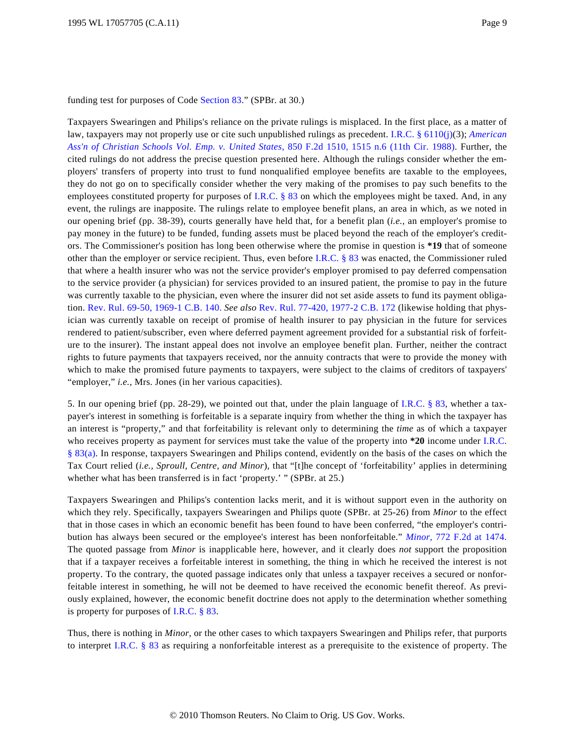funding test for purposes of Code [Section 83](http://www.westlaw.com/Find/Default.wl?rs=dfa1.0&vr=2.0&DB=1012823&DocName=26USCAS83&FindType=L)." (SPBr. at 30.)

Taxpayers Swearingen and Philips's reliance on the private rulings is misplaced. In the first place, as a matter of law, taxpayers may not properly use or cite such unpublished rulings as precedent. [I.R.C. § 6110\(j\)](http://www.westlaw.com/Find/Default.wl?rs=dfa1.0&vr=2.0&DB=1012823&DocName=26USCAS6110&FindType=L&ReferencePositionType=T&ReferencePosition=SP_267600008f864)(3); *[American](http://www.westlaw.com/Find/Default.wl?rs=dfa1.0&vr=2.0&DB=350&FindType=Y&ReferencePositionType=S&SerialNum=1988092824&ReferencePosition=1515) [Ass'n of Christian Schools Vol. Emp. v. United State](http://www.westlaw.com/Find/Default.wl?rs=dfa1.0&vr=2.0&DB=350&FindType=Y&ReferencePositionType=S&SerialNum=1988092824&ReferencePosition=1515)s,* [850 F.2d 1510, 1515 n.6 \(11th Cir. 198](http://www.westlaw.com/Find/Default.wl?rs=dfa1.0&vr=2.0&DB=350&FindType=Y&ReferencePositionType=S&SerialNum=1988092824&ReferencePosition=1515)8). Further, the cited rulings do not address the precise question presented here. Although the rulings consider whether the employers' transfers of property into trust to fund nonqualified employee benefits are taxable to the employees, they do not go on to specifically consider whether the very making of the promises to pay such benefits to the employees constituted property for purposes of [I.R.C. § 83](http://www.westlaw.com/Find/Default.wl?rs=dfa1.0&vr=2.0&DB=1012823&DocName=26USCAS83&FindType=L) on which the employees might be taxed. And, in any event, the rulings are inapposite. The rulings relate to employee benefit plans, an area in which, as we noted in our opening brief (pp. 38-39), courts generally have held that, for a benefit plan (*i.e.,* an employer's promise to pay money in the future) to be funded, funding assets must be placed beyond the reach of the employer's creditors. The Commissioner's position has long been otherwise where the promise in question is **\*19** that of someone other than the employer or service recipient. Thus, even before [I.R.C. § 83](http://www.westlaw.com/Find/Default.wl?rs=dfa1.0&vr=2.0&DB=1012823&DocName=26USCAS83&FindType=L) was enacted, the Commissioner ruled that where a health insurer who was not the service provider's employer promised to pay deferred compensation to the service provider (a physician) for services provided to an insured patient, the promise to pay in the future was currently taxable to the physician, even where the insurer did not set aside assets to fund its payment obligation. [Rev. Rul. 69-50, 1969-1 C.B. 140.](http://www.westlaw.com/Find/Default.wl?rs=dfa1.0&vr=2.0&DB=1048&FindType=Y&SerialNum=1969014117) *See also* [Rev. Rul. 77-420, 1977-2 C.B. 172](http://www.westlaw.com/Find/Default.wl?rs=dfa1.0&vr=2.0&DB=0001048&FindType=Y&SerialNum=1977019414) (likewise holding that physician was currently taxable on receipt of promise of health insurer to pay physician in the future for services rendered to patient/subscriber, even where deferred payment agreement provided for a substantial risk of forfeiture to the insurer). The instant appeal does not involve an employee benefit plan. Further, neither the contract rights to future payments that taxpayers received, nor the annuity contracts that were to provide the money with which to make the promised future payments to taxpayers, were subject to the claims of creditors of taxpayers' "employer," *i.e.*, Mrs. Jones (in her various capacities).

5. In our opening brief (pp. 28-29), we pointed out that, under the plain language of [I.R.C. § 83](http://www.westlaw.com/Find/Default.wl?rs=dfa1.0&vr=2.0&DB=1012823&DocName=26USCAS83&FindType=L), whether a taxpayer's interest in something is forfeitable is a separate inquiry from whether the thing in which the taxpayer has an interest is "property," and that forfeitability is relevant only to determining the *time* as of which a taxpayer who receives property as payment for services must take the value of the property into **\*20** income under [I.R.C.](http://www.westlaw.com/Find/Default.wl?rs=dfa1.0&vr=2.0&DB=1012823&DocName=26USCAS83&FindType=L&ReferencePositionType=T&ReferencePosition=SP_8b3b0000958a4) [§ 83\(a\)](http://www.westlaw.com/Find/Default.wl?rs=dfa1.0&vr=2.0&DB=1012823&DocName=26USCAS83&FindType=L&ReferencePositionType=T&ReferencePosition=SP_8b3b0000958a4). In response, taxpayers Swearingen and Philips contend, evidently on the basis of the cases on which the Tax Court relied (*i.e., Sproull, Centre, and Minor*), that "[t]he concept of 'forfeitability' applies in determining whether what has been transferred is in fact 'property.' " (SPBr. at 25.)

Taxpayers Swearingen and Philips's contention lacks merit, and it is without support even in the authority on which they rely. Specifically, taxpayers Swearingen and Philips quote (SPBr. at 25-26) from *Minor* to the effect that in those cases in which an economic benefit has been found to have been conferred, "the employer's contribution has always been secured or the employee's interest has been nonforfeitable." *[Minor](http://www.westlaw.com/Find/Default.wl?rs=dfa1.0&vr=2.0&DB=350&FindType=Y&ReferencePositionType=S&SerialNum=1985148622&ReferencePosition=1474),* [772 F.2d at 1474](http://www.westlaw.com/Find/Default.wl?rs=dfa1.0&vr=2.0&DB=350&FindType=Y&ReferencePositionType=S&SerialNum=1985148622&ReferencePosition=1474). The quoted passage from *Minor* is inapplicable here, however, and it clearly does *not* support the proposition that if a taxpayer receives a forfeitable interest in something, the thing in which he received the interest is not property. To the contrary, the quoted passage indicates only that unless a taxpayer receives a secured or nonforfeitable interest in something, he will not be deemed to have received the economic benefit thereof. As previously explained, however, the economic benefit doctrine does not apply to the determination whether something is property for purposes of [I.R.C. § 83](http://www.westlaw.com/Find/Default.wl?rs=dfa1.0&vr=2.0&DB=1012823&DocName=26USCAS83&FindType=L).

Thus, there is nothing in *Minor,* or the other cases to which taxpayers Swearingen and Philips refer, that purports to interpret [I.R.C. § 83](http://www.westlaw.com/Find/Default.wl?rs=dfa1.0&vr=2.0&DB=1012823&DocName=26USCAS83&FindType=L) as requiring a nonforfeitable interest as a prerequisite to the existence of property. The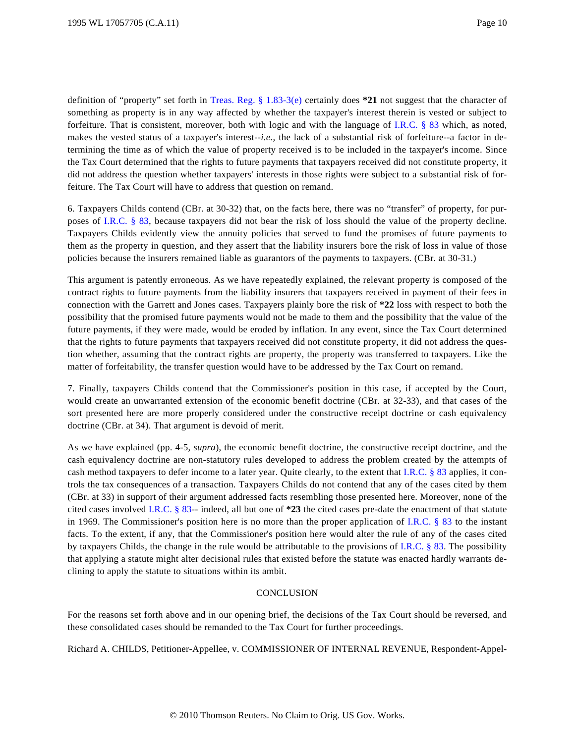definition of "property" set forth in [Treas. Reg. § 1.83-3\(e](http://www.westlaw.com/Find/Default.wl?rs=dfa1.0&vr=2.0&DB=1016188&DocName=26CFRS1.83-3&FindType=L&ReferencePositionType=T&ReferencePosition=SP_7fdd00001ca15)) certainly does **\*21** not suggest that the character of something as property is in any way affected by whether the taxpayer's interest therein is vested or subject to forfeiture. That is consistent, moreover, both with logic and with the language of [I.R.C. § 83](http://www.westlaw.com/Find/Default.wl?rs=dfa1.0&vr=2.0&DB=1012823&DocName=26USCAS83&FindType=L) which, as noted, makes the vested status of a taxpayer's interest--*i.e.,* the lack of a substantial risk of forfeiture--a factor in determining the time as of which the value of property received is to be included in the taxpayer's income. Since the Tax Court determined that the rights to future payments that taxpayers received did not constitute property, it did not address the question whether taxpayers' interests in those rights were subject to a substantial risk of forfeiture. The Tax Court will have to address that question on remand.

6. Taxpayers Childs contend (CBr. at 30-32) that, on the facts here, there was no "transfer" of property, for purposes of [I.R.C. § 83](http://www.westlaw.com/Find/Default.wl?rs=dfa1.0&vr=2.0&DB=1012823&DocName=26USCAS83&FindType=L), because taxpayers did not bear the risk of loss should the value of the property decline. Taxpayers Childs evidently view the annuity policies that served to fund the promises of future payments to them as the property in question, and they assert that the liability insurers bore the risk of loss in value of those policies because the insurers remained liable as guarantors of the payments to taxpayers. (CBr. at 30-31.)

This argument is patently erroneous. As we have repeatedly explained, the relevant property is composed of the contract rights to future payments from the liability insurers that taxpayers received in payment of their fees in connection with the Garrett and Jones cases. Taxpayers plainly bore the risk of **\*22** loss with respect to both the possibility that the promised future payments would not be made to them and the possibility that the value of the future payments, if they were made, would be eroded by inflation. In any event, since the Tax Court determined that the rights to future payments that taxpayers received did not constitute property, it did not address the question whether, assuming that the contract rights are property, the property was transferred to taxpayers. Like the matter of forfeitability, the transfer question would have to be addressed by the Tax Court on remand.

7. Finally, taxpayers Childs contend that the Commissioner's position in this case, if accepted by the Court, would create an unwarranted extension of the economic benefit doctrine (CBr. at 32-33), and that cases of the sort presented here are more properly considered under the constructive receipt doctrine or cash equivalency doctrine (CBr. at 34). That argument is devoid of merit.

As we have explained (pp. 4-5, *supra*), the economic benefit doctrine, the constructive receipt doctrine, and the cash equivalency doctrine are non-statutory rules developed to address the problem created by the attempts of cash method taxpayers to defer income to a later year. Quite clearly, to the extent that [I.R.C. § 83](http://www.westlaw.com/Find/Default.wl?rs=dfa1.0&vr=2.0&DB=1012823&DocName=26USCAS83&FindType=L) applies, it controls the tax consequences of a transaction. Taxpayers Childs do not contend that any of the cases cited by them (CBr. at 33) in support of their argument addressed facts resembling those presented here. Moreover, none of the cited cases involved [I.R.C. § 83](http://www.westlaw.com/Find/Default.wl?rs=dfa1.0&vr=2.0&DB=1012823&DocName=26USCAS83&FindType=L)-- indeed, all but one of **\*23** the cited cases pre-date the enactment of that statute in 1969. The Commissioner's position here is no more than the proper application of [I.R.C. § 83](http://www.westlaw.com/Find/Default.wl?rs=dfa1.0&vr=2.0&DB=1012823&DocName=26USCAS83&FindType=L) to the instant facts. To the extent, if any, that the Commissioner's position here would alter the rule of any of the cases cited by taxpayers Childs, the change in the rule would be attributable to the provisions of [I.R.C. § 83](http://www.westlaw.com/Find/Default.wl?rs=dfa1.0&vr=2.0&DB=1012823&DocName=26USCAS83&FindType=L). The possibility that applying a statute might alter decisional rules that existed before the statute was enacted hardly warrants declining to apply the statute to situations within its ambit.

## **CONCLUSION**

For the reasons set forth above and in our opening brief, the decisions of the Tax Court should be reversed, and these consolidated cases should be remanded to the Tax Court for further proceedings.

Richard A. CHILDS, Petitioner-Appellee, v. COMMISSIONER OF INTERNAL REVENUE, Respondent-Appel-